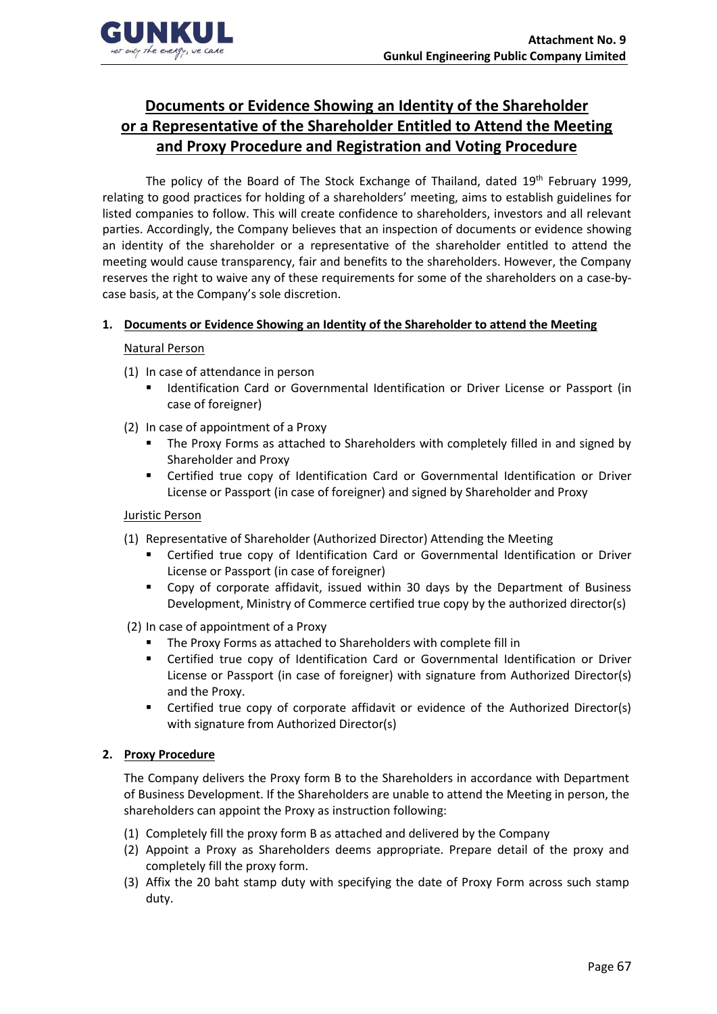

# **Documents or Evidence Showing an Identity of the Shareholder or a Representative of the Shareholder Entitled to Attend the Meeting and Proxy Procedure and Registration and Voting Procedure**

The policy of the Board of The Stock Exchange of Thailand, dated 19<sup>th</sup> February 1999, relating to good practices for holding of a shareholders' meeting, aims to establish guidelines for listed companies to follow. This will create confidence to shareholders, investors and all relevant parties. Accordingly, the Company believes that an inspection of documents or evidence showing an identity of the shareholder or a representative of the shareholder entitled to attend the meeting would cause transparency, fair and benefits to the shareholders. However, the Company reserves the right to waive any of these requirements for some of the shareholders on a case-bycase basis, at the Company's sole discretion.

## **1. Documents or Evidence Showing an Identity of the Shareholder to attend the Meeting**

### Natural Person

- (1) In case of attendance in person
	- Identification Card or Governmental Identification or Driver License or Passport (in case of foreigner)
- (2) In case of appointment of a Proxy
	- The Proxy Forms as attached to Shareholders with completely filled in and signed by Shareholder and Proxy
	- Certified true copy of Identification Card or Governmental Identification or Driver License or Passport (in case of foreigner) and signed by Shareholder and Proxy

### Juristic Person

- (1) Representative of Shareholder (Authorized Director) Attending the Meeting
	- Certified true copy of Identification Card or Governmental Identification or Driver License or Passport (in case of foreigner)
	- Copy of corporate affidavit, issued within 30 days by the Department of Business Development, Ministry of Commerce certified true copy by the authorized director(s)
- (2) In case of appointment of a Proxy
	- The Proxy Forms as attached to Shareholders with complete fill in
	- **EXECT** Certified true copy of Identification Card or Governmental Identification or Driver License or Passport (in case of foreigner) with signature from Authorized Director(s) and the Proxy.
	- Certified true copy of corporate affidavit or evidence of the Authorized Director(s) with signature from Authorized Director(s)

### **2. Proxy Procedure**

The Company delivers the Proxy form B to the Shareholders in accordance with Department of Business Development. If the Shareholders are unable to attend the Meeting in person, the shareholders can appoint the Proxy as instruction following:

- (1) Completely fill the proxy form B as attached and delivered by the Company
- (2) Appoint a Proxy as Shareholders deems appropriate. Prepare detail of the proxy and completely fill the proxy form.
- (3) Affix the 20 baht stamp duty with specifying the date of Proxy Form across such stamp duty.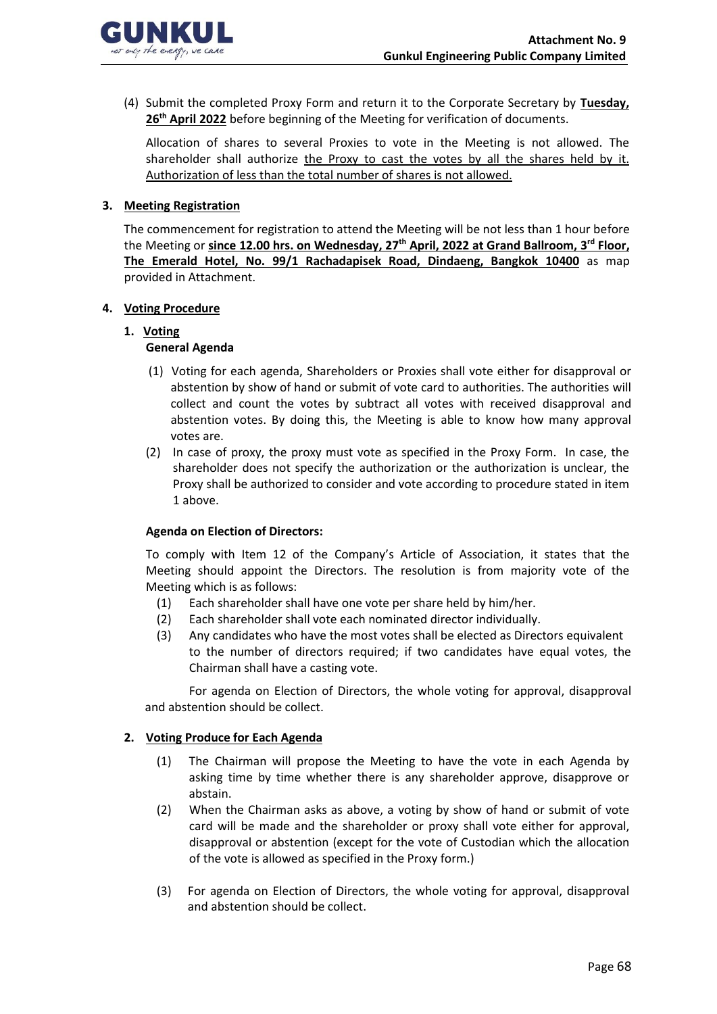

(4) Submit the completed Proxy Form and return it to the Corporate Secretary by **Tuesday, 26th April 2022** before beginning of the Meeting for verification of documents.

Allocation of shares to several Proxies to vote in the Meeting is not allowed. The shareholder shall authorize the Proxy to cast the votes by all the shares held by it. Authorization of less than the total number of shares is not allowed.

### **3. Meeting Registration**

The commencement for registration to attend the Meeting will be not less than 1 hour before the Meeting or **since 12.00 hrs. on Wednesday, 27th April, 2022 at Grand Ballroom, 3 rd Floor, The Emerald Hotel, No. 99/1 Rachadapisek Road, Dindaeng, Bangkok 10400** as map provided in Attachment.

### **4. Voting Procedure**

# **1. Voting**

## **General Agenda**

- (1) Voting for each agenda, Shareholders or Proxies shall vote either for disapproval or abstention by show of hand or submit of vote card to authorities. The authorities will collect and count the votes by subtract all votes with received disapproval and abstention votes. By doing this, the Meeting is able to know how many approval votes are.
- (2) In case of proxy, the proxy must vote as specified in the Proxy Form. In case, the shareholder does not specify the authorization or the authorization is unclear, the Proxy shall be authorized to consider and vote according to procedure stated in item 1 above.

### **Agenda on Election of Directors:**

To comply with Item 12 of the Company's Article of Association, it states that the Meeting should appoint the Directors. The resolution is from majority vote of the Meeting which is as follows:

- (1) Each shareholder shall have one vote per share held by him/her.
- (2) Each shareholder shall vote each nominated director individually.
- (3) Any candidates who have the most votes shall be elected as Directors equivalent to the number of directors required; if two candidates have equal votes, the Chairman shall have a casting vote.

For agenda on Election of Directors, the whole voting for approval, disapproval and abstention should be collect.

### **2. Voting Produce for Each Agenda**

- (1) The Chairman will propose the Meeting to have the vote in each Agenda by asking time by time whether there is any shareholder approve, disapprove or abstain.
- (2) When the Chairman asks as above, a voting by show of hand or submit of vote card will be made and the shareholder or proxy shall vote either for approval, disapproval or abstention (except for the vote of Custodian which the allocation of the vote is allowed as specified in the Proxy form.)
- (3) For agenda on Election of Directors, the whole voting for approval, disapproval and abstention should be collect.